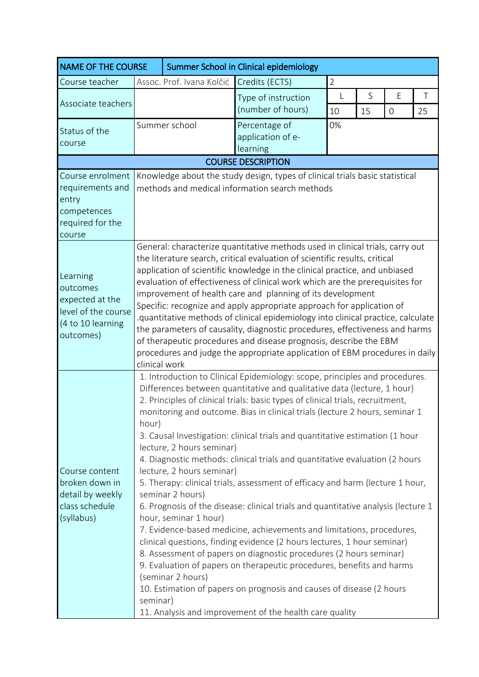| <b>NAME OF THE COURSE</b>                                                                        |                                                                                                                                                                                                                                                                                                                                                                                                                                                                                                                                                                                                                                                                                                                                                                                                                                                                                                                                                                                                                                                                                                                                                                                                                                                     | Summer School in Clinical epidemiology |                                                |                |         |                     |         |  |  |
|--------------------------------------------------------------------------------------------------|-----------------------------------------------------------------------------------------------------------------------------------------------------------------------------------------------------------------------------------------------------------------------------------------------------------------------------------------------------------------------------------------------------------------------------------------------------------------------------------------------------------------------------------------------------------------------------------------------------------------------------------------------------------------------------------------------------------------------------------------------------------------------------------------------------------------------------------------------------------------------------------------------------------------------------------------------------------------------------------------------------------------------------------------------------------------------------------------------------------------------------------------------------------------------------------------------------------------------------------------------------|----------------------------------------|------------------------------------------------|----------------|---------|---------------------|---------|--|--|
| Course teacher                                                                                   | Assoc. Prof. Ivana Kolčić                                                                                                                                                                                                                                                                                                                                                                                                                                                                                                                                                                                                                                                                                                                                                                                                                                                                                                                                                                                                                                                                                                                                                                                                                           |                                        | Credits (ECTS)                                 | $\overline{2}$ |         |                     |         |  |  |
| Associate teachers                                                                               |                                                                                                                                                                                                                                                                                                                                                                                                                                                                                                                                                                                                                                                                                                                                                                                                                                                                                                                                                                                                                                                                                                                                                                                                                                                     |                                        | Type of instruction<br>(number of hours)       | L<br>10        | S<br>15 | E<br>$\overline{0}$ | T<br>25 |  |  |
| Status of the<br>course                                                                          | Summer school                                                                                                                                                                                                                                                                                                                                                                                                                                                                                                                                                                                                                                                                                                                                                                                                                                                                                                                                                                                                                                                                                                                                                                                                                                       |                                        | Percentage of<br>application of e-<br>learning | 0%             |         |                     |         |  |  |
| <b>COURSE DESCRIPTION</b>                                                                        |                                                                                                                                                                                                                                                                                                                                                                                                                                                                                                                                                                                                                                                                                                                                                                                                                                                                                                                                                                                                                                                                                                                                                                                                                                                     |                                        |                                                |                |         |                     |         |  |  |
| Course enrolment<br>requirements and<br>entry<br>competences<br>required for the<br>course       | Knowledge about the study design, types of clinical trials basic statistical<br>methods and medical information search methods                                                                                                                                                                                                                                                                                                                                                                                                                                                                                                                                                                                                                                                                                                                                                                                                                                                                                                                                                                                                                                                                                                                      |                                        |                                                |                |         |                     |         |  |  |
| Learning<br>outcomes<br>expected at the<br>level of the course<br>(4 to 10 learning<br>outcomes) | General: characterize quantitative methods used in clinical trials, carry out<br>the literature search, critical evaluation of scientific results, critical<br>application of scientific knowledge in the clinical practice, and unbiased<br>evaluation of effectiveness of clinical work which are the prerequisites for<br>improvement of health care and planning of its development<br>Specific: recognize and apply appropriate approach for application of<br>.quantitative methods of clinical epidemiology into clinical practice, calculate<br>the parameters of causality, diagnostic procedures, effectiveness and harms<br>of therapeutic procedures and disease prognosis, describe the EBM<br>procedures and judge the appropriate application of EBM procedures in daily<br>clinical work                                                                                                                                                                                                                                                                                                                                                                                                                                            |                                        |                                                |                |         |                     |         |  |  |
| Course content<br>broken down in<br>detail by weekly<br>class schedule<br>(syllabus)             | 1. Introduction to Clinical Epidemiology: scope, principles and procedures.<br>Differences between quantitative and qualitative data (lecture, 1 hour)<br>2. Principles of clinical trials: basic types of clinical trials, recruitment,<br>monitoring and outcome. Bias in clinical trials (lecture 2 hours, seminar 1<br>hour)<br>3. Causal Investigation: clinical trials and quantitative estimation (1 hour<br>lecture, 2 hours seminar)<br>4. Diagnostic methods: clinical trials and quantitative evaluation (2 hours<br>lecture, 2 hours seminar)<br>5. Therapy: clinical trials, assessment of efficacy and harm (lecture 1 hour,<br>seminar 2 hours)<br>6. Prognosis of the disease: clinical trials and quantitative analysis (lecture 1<br>hour, seminar 1 hour)<br>7. Evidence-based medicine, achievements and limitations, procedures,<br>clinical questions, finding evidence (2 hours lectures, 1 hour seminar)<br>8. Assessment of papers on diagnostic procedures (2 hours seminar)<br>9. Evaluation of papers on therapeutic procedures, benefits and harms<br>(seminar 2 hours)<br>10. Estimation of papers on prognosis and causes of disease (2 hours<br>seminar)<br>11. Analysis and improvement of the health care quality |                                        |                                                |                |         |                     |         |  |  |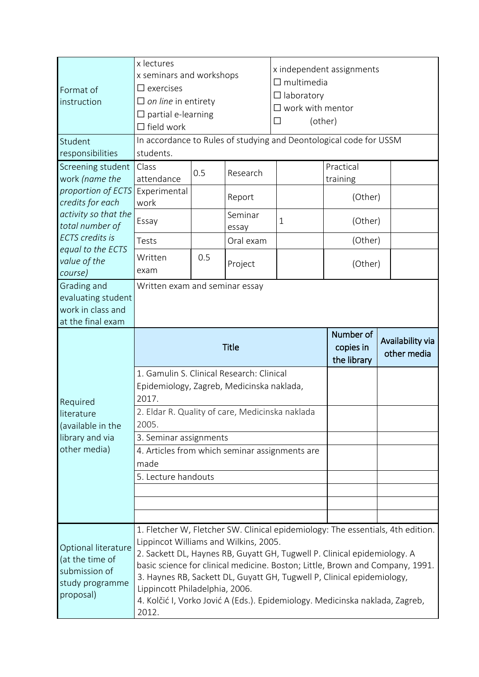| Format of<br>instruction                                                                                                 | x lectures<br>x seminars and workshops<br>$\square$ exercises<br>$\Box$ on line in entirety<br>$\Box$ partial e-learning<br>$\Box$ field work |     |                        | $\square$ multimedia<br>$\Box$ laboratory<br>$\square$ work with mentor<br>$\mathsf{L}$ | x independent assignments<br>(other)                                                                                                                                                                                                                                                                                   |             |  |  |
|--------------------------------------------------------------------------------------------------------------------------|-----------------------------------------------------------------------------------------------------------------------------------------------|-----|------------------------|-----------------------------------------------------------------------------------------|------------------------------------------------------------------------------------------------------------------------------------------------------------------------------------------------------------------------------------------------------------------------------------------------------------------------|-------------|--|--|
| Student                                                                                                                  | In accordance to Rules of studying and Deontological code for USSM                                                                            |     |                        |                                                                                         |                                                                                                                                                                                                                                                                                                                        |             |  |  |
| responsibilities                                                                                                         | students.                                                                                                                                     |     |                        |                                                                                         |                                                                                                                                                                                                                                                                                                                        |             |  |  |
| Screening student<br>work (name the<br>proportion of ECTS<br>credits for each<br>activity so that the<br>total number of | Class<br>attendance                                                                                                                           | 0.5 | Research               |                                                                                         | Practical<br>training                                                                                                                                                                                                                                                                                                  |             |  |  |
|                                                                                                                          | Experimental<br>work                                                                                                                          |     | Report                 |                                                                                         | (Other)                                                                                                                                                                                                                                                                                                                |             |  |  |
|                                                                                                                          | Essay                                                                                                                                         |     | Seminar<br>essay       | 1                                                                                       | (Other)                                                                                                                                                                                                                                                                                                                |             |  |  |
| <b>ECTS</b> credits is                                                                                                   | Tests                                                                                                                                         |     | Oral exam              |                                                                                         | (Other)                                                                                                                                                                                                                                                                                                                |             |  |  |
| equal to the ECTS<br>value of the<br>course)                                                                             | Written<br>exam                                                                                                                               | 0.5 | Project                |                                                                                         | (Other)                                                                                                                                                                                                                                                                                                                |             |  |  |
| Grading and<br>evaluating student<br>work in class and<br>at the final exam                                              | Written exam and seminar essay                                                                                                                |     |                        |                                                                                         |                                                                                                                                                                                                                                                                                                                        |             |  |  |
|                                                                                                                          |                                                                                                                                               |     | Number of<br>copies in | Availability via                                                                        |                                                                                                                                                                                                                                                                                                                        |             |  |  |
|                                                                                                                          |                                                                                                                                               |     | <b>Title</b>           |                                                                                         | the library                                                                                                                                                                                                                                                                                                            | other media |  |  |
|                                                                                                                          | 1. Gamulin S. Clinical Research: Clinical<br>Epidemiology, Zagreb, Medicinska naklada,<br>2017.                                               |     |                        |                                                                                         |                                                                                                                                                                                                                                                                                                                        |             |  |  |
| Required<br>literature<br>(available in the                                                                              | 2. Eldar R. Quality of care, Medicinska naklada<br>2005.                                                                                      |     |                        |                                                                                         |                                                                                                                                                                                                                                                                                                                        |             |  |  |
| library and via                                                                                                          | 3. Seminar assignments                                                                                                                        |     |                        |                                                                                         |                                                                                                                                                                                                                                                                                                                        |             |  |  |
| other media)                                                                                                             | 4. Articles from which seminar assignments are                                                                                                |     |                        |                                                                                         |                                                                                                                                                                                                                                                                                                                        |             |  |  |
|                                                                                                                          | made                                                                                                                                          |     |                        |                                                                                         |                                                                                                                                                                                                                                                                                                                        |             |  |  |
|                                                                                                                          | 5. Lecture handouts                                                                                                                           |     |                        |                                                                                         |                                                                                                                                                                                                                                                                                                                        |             |  |  |
|                                                                                                                          |                                                                                                                                               |     |                        |                                                                                         |                                                                                                                                                                                                                                                                                                                        |             |  |  |
|                                                                                                                          |                                                                                                                                               |     |                        |                                                                                         |                                                                                                                                                                                                                                                                                                                        |             |  |  |
| Optional literature<br>(at the time of<br>submission of<br>study programme<br>proposal)                                  | Lippincot Williams and Wilkins, 2005.<br>Lippincott Philadelphia, 2006.                                                                       |     |                        |                                                                                         | 1. Fletcher W, Fletcher SW. Clinical epidemiology: The essentials, 4th edition.<br>2. Sackett DL, Haynes RB, Guyatt GH, Tugwell P. Clinical epidemiology. A<br>basic science for clinical medicine. Boston; Little, Brown and Company, 1991.<br>3. Haynes RB, Sackett DL, Guyatt GH, Tugwell P, Clinical epidemiology, |             |  |  |